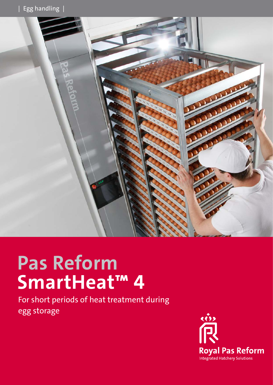

# **Pas Reform SmartHeat™ 4**

For short periods of heat treatment during egg storage